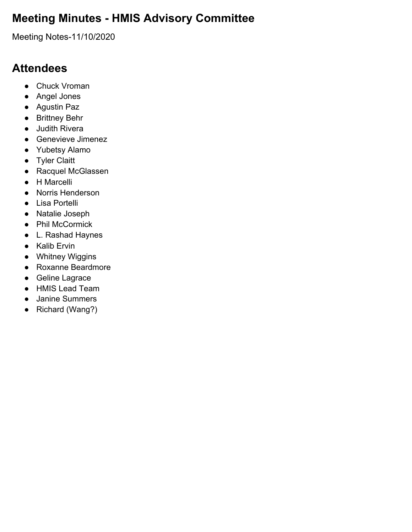### **Meeting Minutes - HMIS Advisory Committee**

Meeting Notes-11/10/2020

#### **Attendees**

- Chuck Vroman
- Angel Jones
- Agustin Paz
- Brittney Behr
- Judith Rivera
- Genevieve Jimenez
- Yubetsy Alamo
- Tyler Claitt
- Racquel McGlassen
- H Marcelli
- Norris Henderson
- Lisa Portelli
- Natalie Joseph
- Phil McCormick
- L. Rashad Haynes
- Kalib Ervin
- Whitney Wiggins
- Roxanne Beardmore
- Geline Lagrace
- HMIS Lead Team
- Janine Summers
- Richard (Wang?)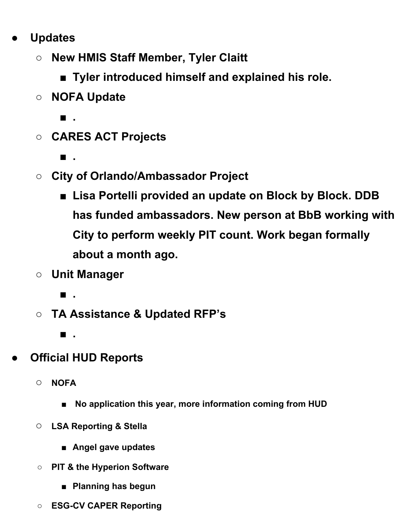- **● Updates**
	- **○ New HMIS Staff Member, Tyler Claitt**
		- **■ Tyler introduced himself and explained his role.**
	- **○ NOFA Update**
		- **■ .**
	- **○ CARES ACT Projects**
		- **■ .**
	- **○ City of Orlando/Ambassador Project**
		- **■ Lisa Portelli provided an update on Block by Block. DDB has funded ambassadors. New person at BbB working with City to perform weekly PIT count. Work began formally about a month ago.**
	- **○ Unit Manager**
		- **■ .**
	- **○ TA Assistance & Updated RFP's**
		- **■ .**
- **● Official HUD Reports**
	- **○ NOFA**
		- **■ No application this year, more information coming from HUD**
	- **○ LSA Reporting & Stella**
		- **■ Angel gave updates**
	- **○ PIT & the Hyperion Software**
		- **■ Planning has begun**
	- **○ ESG-CV CAPER Reporting**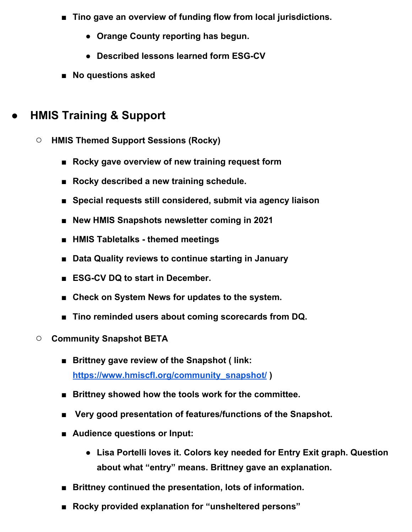- **Tino** gave an overview of funding flow from local jurisdictions.
	- **● Orange County reporting has begun.**
	- **● Described lessons learned form ESG-CV**
- **■ No questions asked**

#### **● HMIS Training & Support**

- **○ HMIS Themed Support Sessions (Rocky)**
	- **■ Rocky gave overview of new training request form**
	- **■ Rocky described a new training schedule.**
	- **■ Special requests still considered, submit via agency liaison**
	- **■ New HMIS Snapshots newsletter coming in 2021**
	- **■ HMIS Tabletalks - themed meetings**
	- **■ Data Quality reviews to continue starting in January**
	- **■ ESG-CV DQ to start in December.**
	- **Check** on System News for updates to the system.
	- **■ Tino reminded users about coming scorecards from DQ.**
- **○ Community Snapshot BETA**
	- **■ Brittney gave review of the Snapshot ( link: [https://www.hmiscfl.org/community\\_snapshot/](https://www.hmiscfl.org/community_snapshot/) )**
	- **■ Brittney showed how the tools work for the committee.**
	- **Very** good presentation of features/functions of the Snapshot.
	- **■ Audience questions or Input:**
		- **● Lisa Portelli loves it. Colors key needed for Entry Exit graph. Question about what "entry" means. Brittney gave an explanation.**
	- **■ Brittney continued the presentation, lots of information.**
	- **■ Rocky provided explanation for "unsheltered persons"**